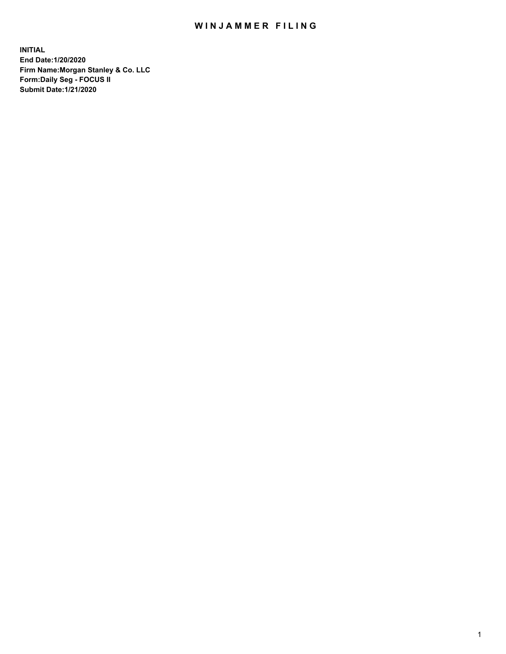## WIN JAMMER FILING

**INITIAL End Date:1/20/2020 Firm Name:Morgan Stanley & Co. LLC Form:Daily Seg - FOCUS II Submit Date:1/21/2020**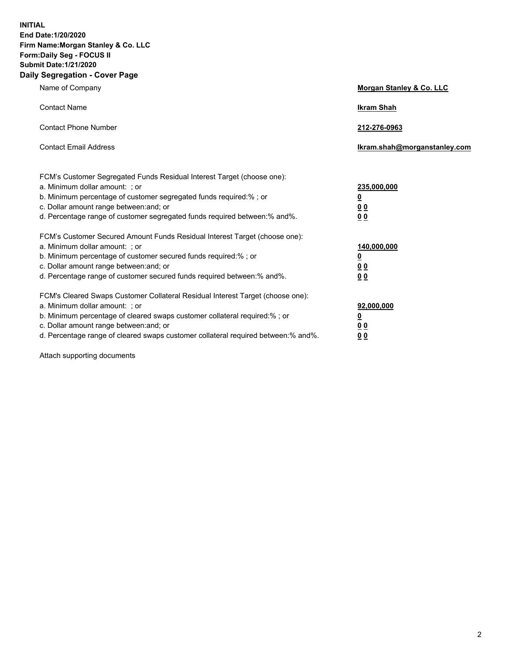**INITIAL End Date:1/20/2020 Firm Name:Morgan Stanley & Co. LLC Form:Daily Seg - FOCUS II Submit Date:1/21/2020 Daily Segregation - Cover Page**

| Name of Company                                                                                                                                                                                                                                                                                                                | Morgan Stanley & Co. LLC                               |
|--------------------------------------------------------------------------------------------------------------------------------------------------------------------------------------------------------------------------------------------------------------------------------------------------------------------------------|--------------------------------------------------------|
| <b>Contact Name</b>                                                                                                                                                                                                                                                                                                            | <b>Ikram Shah</b>                                      |
| <b>Contact Phone Number</b>                                                                                                                                                                                                                                                                                                    | 212-276-0963                                           |
| <b>Contact Email Address</b>                                                                                                                                                                                                                                                                                                   | lkram.shah@morganstanley.com                           |
| FCM's Customer Segregated Funds Residual Interest Target (choose one):<br>a. Minimum dollar amount: ; or<br>b. Minimum percentage of customer segregated funds required:% ; or<br>c. Dollar amount range between: and; or<br>d. Percentage range of customer segregated funds required between:% and%.                         | 235,000,000<br><u>0</u><br><u>00</u><br>0 <sub>0</sub> |
| FCM's Customer Secured Amount Funds Residual Interest Target (choose one):<br>a. Minimum dollar amount: ; or<br>b. Minimum percentage of customer secured funds required:% ; or<br>c. Dollar amount range between: and; or<br>d. Percentage range of customer secured funds required between:% and%.                           | 140,000,000<br><u>0</u><br><u>00</u><br>00             |
| FCM's Cleared Swaps Customer Collateral Residual Interest Target (choose one):<br>a. Minimum dollar amount: ; or<br>b. Minimum percentage of cleared swaps customer collateral required:% ; or<br>c. Dollar amount range between: and; or<br>d. Percentage range of cleared swaps customer collateral required between:% and%. | 92,000,000<br><u>0</u><br><u>00</u><br>00              |

Attach supporting documents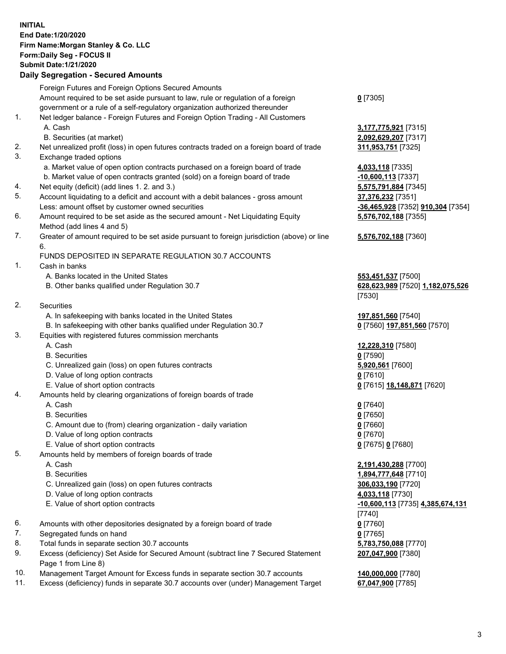## **INITIAL End Date:1/20/2020 Firm Name:Morgan Stanley & Co. LLC Form:Daily Seg - FOCUS II Submit Date:1/21/2020 Daily Segregation - Secured Amounts** Foreign Futures and Foreign Options Secured Amounts Amount required to be set aside pursuant to law, rule or regulation of a foreign government or a rule of a self-regulatory organization authorized thereunder 1. Net ledger balance - Foreign Futures and Foreign Option Trading - All Customers A. Cash **3,177,775,921** [7315] B. Securities (at market) **2,092,629,207** [7317] 2. Net unrealized profit (loss) in open futures contracts traded on a foreign board of trade **311,953,751** [7325] 3. Exchange traded options a. Market value of open option contracts purchased on a foreign board of trade **4,033,118** [7335] b. Market value of open contracts granted (sold) on a foreign board of trade **-10,600,113** [7337] 4. Net equity (deficit) (add lines 1. 2. and 3.) **5,575,791,884** [7345] 5. Account liquidating to a deficit and account with a debit balances - gross amount **37,376,232** [7351] Less: amount offset by customer owned securities **-36,465,928** [7352] **910,304** [7354] 6. Amount required to be set aside as the secured amount - Net Liquidating Equity Method (add lines 4 and 5) 7. Greater of amount required to be set aside pursuant to foreign jurisdiction (above) or line 6. FUNDS DEPOSITED IN SEPARATE REGULATION 30.7 ACCOUNTS 1. Cash in banks A. Banks located in the United States **553,451,537** [7500] B. Other banks qualified under Regulation 30.7 **628,623,989** [7520] **1,182,075,526** 2. Securities A. In safekeeping with banks located in the United States **197,851,560** [7540] B. In safekeeping with other banks qualified under Regulation 30.7 **0** [7560] **197,851,560** [7570] 3. Equities with registered futures commission merchants A. Cash **12,228,310** [7580] B. Securities **0** [7590] C. Unrealized gain (loss) on open futures contracts **5,920,561** [7600] D. Value of long option contracts **0** [7610] E. Value of short option contracts **0** [7615] **18,148,871** [7620] 4. Amounts held by clearing organizations of foreign boards of trade A. Cash **0** [7640] B. Securities **0** [7650] C. Amount due to (from) clearing organization - daily variation **0** [7660] D. Value of long option contracts **0** [7670] E. Value of short option contracts **0** [7675] **0** [7680] 5. Amounts held by members of foreign boards of trade A. Cash **2,191,430,288** [7700] B. Securities **1,894,777,648** [7710] C. Unrealized gain (loss) on open futures contracts **306,033,190** [7720] D. Value of long option contracts **4,033,118** [7730] E. Value of short option contracts **-10,600,113** [7735] **4,385,674,131**

- 6. Amounts with other depositories designated by a foreign board of trade **0** [7760]
- 7. Segregated funds on hand **0** [7765]
- 8. Total funds in separate section 30.7 accounts **5,783,750,088** [7770]
- 9. Excess (deficiency) Set Aside for Secured Amount (subtract line 7 Secured Statement Page 1 from Line 8)
- 10. Management Target Amount for Excess funds in separate section 30.7 accounts **140,000,000** [7780]
- 11. Excess (deficiency) funds in separate 30.7 accounts over (under) Management Target **67,047,900** [7785]

**0** [7305]

**5,576,702,188** [7355]

**5,576,702,188** [7360]

[7530]

[7740] **207,047,900** [7380]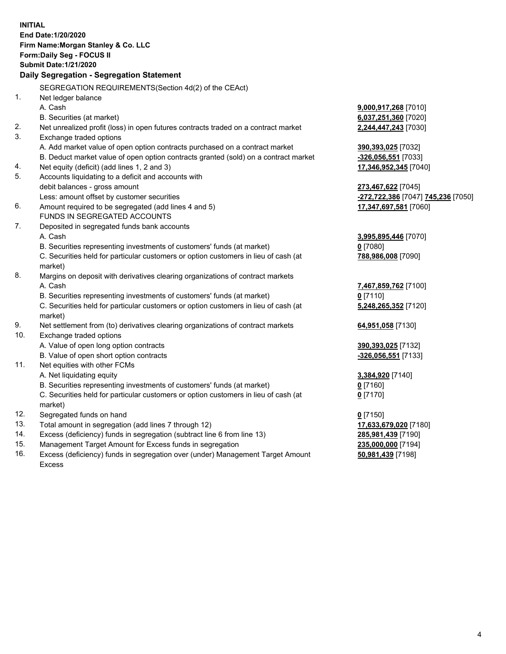|     | <b>INITIAL</b>                                                                      |                                    |
|-----|-------------------------------------------------------------------------------------|------------------------------------|
|     | End Date: 1/20/2020                                                                 |                                    |
|     | Firm Name: Morgan Stanley & Co. LLC                                                 |                                    |
|     | Form: Daily Seg - FOCUS II                                                          |                                    |
|     | <b>Submit Date: 1/21/2020</b>                                                       |                                    |
|     | Daily Segregation - Segregation Statement                                           |                                    |
|     | SEGREGATION REQUIREMENTS(Section 4d(2) of the CEAct)                                |                                    |
| 1.  |                                                                                     |                                    |
|     | Net ledger balance<br>A. Cash                                                       | 9,000,917,268 [7010]               |
|     | B. Securities (at market)                                                           | 6,037,251,360 [7020]               |
| 2.  | Net unrealized profit (loss) in open futures contracts traded on a contract market  | 2,244,447,243 [7030]               |
| 3.  | Exchange traded options                                                             |                                    |
|     | A. Add market value of open option contracts purchased on a contract market         | 390,393,025 [7032]                 |
|     | B. Deduct market value of open option contracts granted (sold) on a contract market | -326,056,551 [7033]                |
| 4.  | Net equity (deficit) (add lines 1, 2 and 3)                                         | 17,346,952,345 [7040]              |
| 5.  | Accounts liquidating to a deficit and accounts with                                 |                                    |
|     | debit balances - gross amount                                                       | 273,467,622 [7045]                 |
|     | Less: amount offset by customer securities                                          | -272,722,386 [7047] 745,236 [7050] |
| 6.  | Amount required to be segregated (add lines 4 and 5)                                | 17,347,697,581 [7060]              |
|     | FUNDS IN SEGREGATED ACCOUNTS                                                        |                                    |
| 7.  | Deposited in segregated funds bank accounts                                         |                                    |
|     | A. Cash                                                                             | 3,995,895,446 [7070]               |
|     | B. Securities representing investments of customers' funds (at market)              | $0$ [7080]                         |
|     | C. Securities held for particular customers or option customers in lieu of cash (at | 788,986,008 [7090]                 |
|     | market)                                                                             |                                    |
| 8.  | Margins on deposit with derivatives clearing organizations of contract markets      |                                    |
|     | A. Cash                                                                             | 7,467,859,762 [7100]               |
|     | B. Securities representing investments of customers' funds (at market)              | $0$ [7110]                         |
|     | C. Securities held for particular customers or option customers in lieu of cash (at | 5,248,265,352 [7120]               |
|     | market)                                                                             |                                    |
| 9.  | Net settlement from (to) derivatives clearing organizations of contract markets     | 64,951,058 [7130]                  |
| 10. | Exchange traded options                                                             |                                    |
|     | A. Value of open long option contracts                                              | 390,393,025 [7132]                 |
|     | B. Value of open short option contracts                                             | -326,056,551 [7133]                |
| 11. | Net equities with other FCMs                                                        |                                    |
|     | A. Net liquidating equity                                                           | 3,384,920 [7140]                   |
|     | B. Securities representing investments of customers' funds (at market)              | $0$ [7160]                         |
|     | C. Securities held for particular customers or option customers in lieu of cash (at | $0$ [7170]                         |
|     | market)                                                                             |                                    |
| 12. | Segregated funds on hand                                                            | $0$ [7150]                         |
| 13. | Total amount in segregation (add lines 7 through 12)                                | 17,633,679,020 [7180]              |
| 14. | Excess (deficiency) funds in segregation (subtract line 6 from line 13)             | 285,981,439 [7190]                 |
| 15. | Management Target Amount for Excess funds in segregation                            | 235,000,000 [7194]                 |
| 16. | Excess (deficiency) funds in segregation over (under) Management Target Amount      | 50,981,439 [7198]                  |

Excess